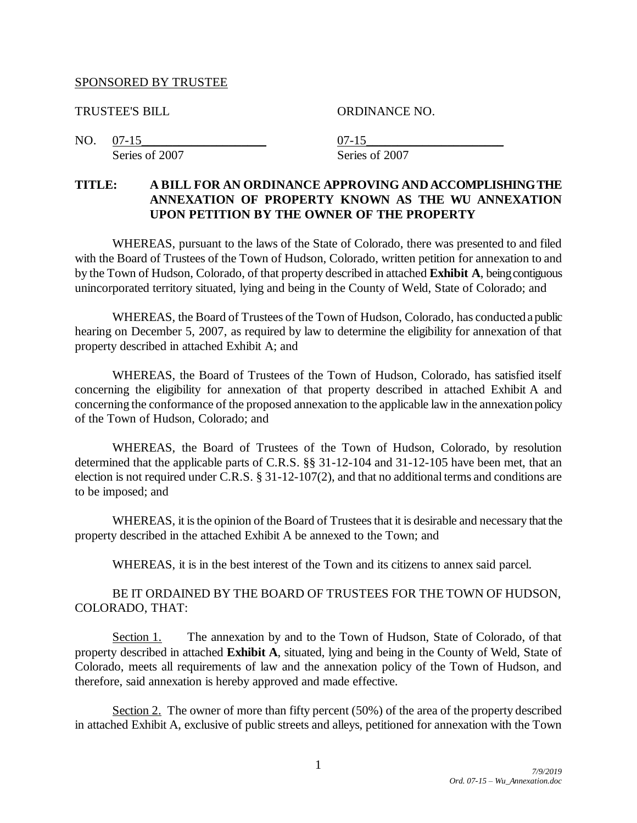#### SPONSORED BY TRUSTEE

TRUSTEE'S BILL ORDINANCE NO.

NO. <u>07-15</u> 07-15 Series of 2007 Series of 2007

# **TITLE: A BILL FOR AN ORDINANCE APPROVING AND ACCOMPLISHING THE ANNEXATION OF PROPERTY KNOWN AS THE WU ANNEXATION UPON PETITION BY THE OWNER OF THE PROPERTY**

WHEREAS, pursuant to the laws of the State of Colorado, there was presented to and filed with the Board of Trustees of the Town of Hudson, Colorado, written petition for annexation to and by the Town of Hudson, Colorado, of that property described in attached **Exhibit A**, being contiguous unincorporated territory situated, lying and being in the County of Weld, State of Colorado; and

WHEREAS, the Board of Trustees of the Town of Hudson, Colorado, has conducted a public hearing on December 5, 2007, as required by law to determine the eligibility for annexation of that property described in attached Exhibit A; and

WHEREAS, the Board of Trustees of the Town of Hudson, Colorado, has satisfied itself concerning the eligibility for annexation of that property described in attached Exhibit A and concerning the conformance of the proposed annexation to the applicable law in the annexation policy of the Town of Hudson, Colorado; and

WHEREAS, the Board of Trustees of the Town of Hudson, Colorado, by resolution determined that the applicable parts of C.R.S. §§ 31-12-104 and 31-12-105 have been met, that an election is not required under C.R.S. § 31-12-107(2), and that no additional terms and conditions are to be imposed; and

WHEREAS, it is the opinion of the Board of Trustees that it is desirable and necessary that the property described in the attached Exhibit A be annexed to the Town; and

WHEREAS, it is in the best interest of the Town and its citizens to annex said parcel.

## BE IT ORDAINED BY THE BOARD OF TRUSTEES FOR THE TOWN OF HUDSON, COLORADO, THAT:

Section 1. The annexation by and to the Town of Hudson, State of Colorado, of that property described in attached **Exhibit A**, situated, lying and being in the County of Weld, State of Colorado, meets all requirements of law and the annexation policy of the Town of Hudson, and therefore, said annexation is hereby approved and made effective.

Section 2. The owner of more than fifty percent (50%) of the area of the property described in attached Exhibit A, exclusive of public streets and alleys, petitioned for annexation with the Town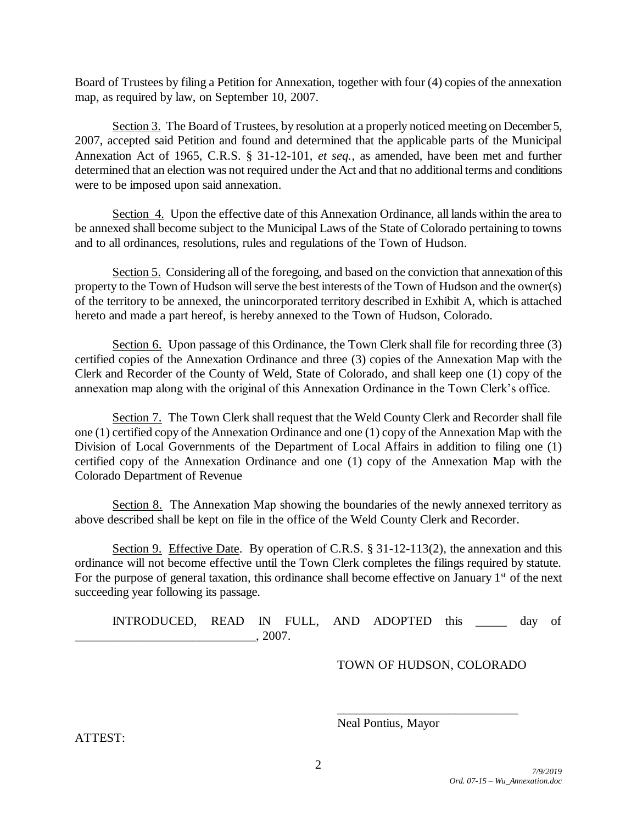Board of Trustees by filing a Petition for Annexation, together with four (4) copies of the annexation map, as required by law, on September 10, 2007.

Section 3. The Board of Trustees, by resolution at a properly noticed meeting on December 5, 2007, accepted said Petition and found and determined that the applicable parts of the Municipal Annexation Act of 1965, C.R.S. § 31-12-101, *et seq.*, as amended, have been met and further determined that an election was not required under the Act and that no additional terms and conditions were to be imposed upon said annexation.

Section 4. Upon the effective date of this Annexation Ordinance, all lands within the area to be annexed shall become subject to the Municipal Laws of the State of Colorado pertaining to towns and to all ordinances, resolutions, rules and regulations of the Town of Hudson.

Section 5. Considering all of the foregoing, and based on the conviction that annexation of this property to the Town of Hudson will serve the best interests of the Town of Hudson and the owner(s) of the territory to be annexed, the unincorporated territory described in Exhibit A, which is attached hereto and made a part hereof, is hereby annexed to the Town of Hudson, Colorado.

Section 6. Upon passage of this Ordinance, the Town Clerk shall file for recording three (3) certified copies of the Annexation Ordinance and three (3) copies of the Annexation Map with the Clerk and Recorder of the County of Weld, State of Colorado, and shall keep one (1) copy of the annexation map along with the original of this Annexation Ordinance in the Town Clerk's office.

Section 7. The Town Clerk shall request that the Weld County Clerk and Recorder shall file one (1) certified copy of the Annexation Ordinance and one (1) copy of the Annexation Map with the Division of Local Governments of the Department of Local Affairs in addition to filing one (1) certified copy of the Annexation Ordinance and one (1) copy of the Annexation Map with the Colorado Department of Revenue

Section 8. The Annexation Map showing the boundaries of the newly annexed territory as above described shall be kept on file in the office of the Weld County Clerk and Recorder.

Section 9. Effective Date. By operation of C.R.S. § 31-12-113(2), the annexation and this ordinance will not become effective until the Town Clerk completes the filings required by statute. For the purpose of general taxation, this ordinance shall become effective on January  $1<sup>st</sup>$  of the next succeeding year following its passage.

INTRODUCED, READ IN FULL, AND ADOPTED this \_\_\_\_\_ day of \_\_\_\_\_\_\_\_\_\_\_\_\_\_\_\_\_\_\_\_\_\_\_\_\_\_\_\_\_, 2007.

TOWN OF HUDSON, COLORADO

\_\_\_\_\_\_\_\_\_\_\_\_\_\_\_\_\_\_\_\_\_\_\_\_\_\_\_\_\_

Neal Pontius, Mayor

ATTEST: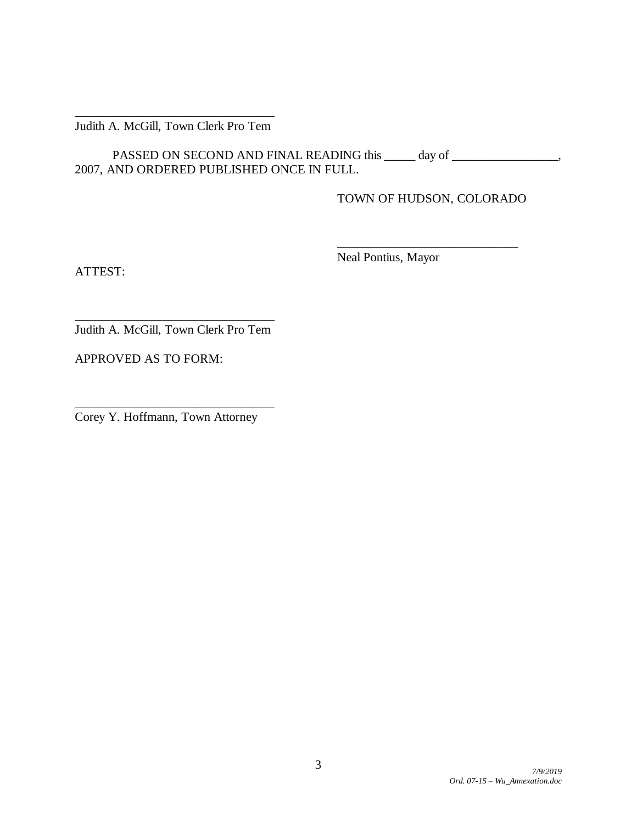#### \_\_\_\_\_\_\_\_\_\_\_\_\_\_\_\_\_\_\_\_\_\_\_\_\_\_\_\_\_\_\_\_ Judith A. McGill, Town Clerk Pro Tem

PASSED ON SECOND AND FINAL READING this day of \_\_\_\_\_\_\_\_\_\_\_\_\_\_\_, 2007, AND ORDERED PUBLISHED ONCE IN FULL.

TOWN OF HUDSON, COLORADO

 $\mathcal{L}$  , we can also assume that  $\mathcal{L}$ 

ATTEST:

Neal Pontius, Mayor

\_\_\_\_\_\_\_\_\_\_\_\_\_\_\_\_\_\_\_\_\_\_\_\_\_\_\_\_\_\_\_\_ Judith A. McGill, Town Clerk Pro Tem

APPROVED AS TO FORM:

Corey Y. Hoffmann, Town Attorney

\_\_\_\_\_\_\_\_\_\_\_\_\_\_\_\_\_\_\_\_\_\_\_\_\_\_\_\_\_\_\_\_